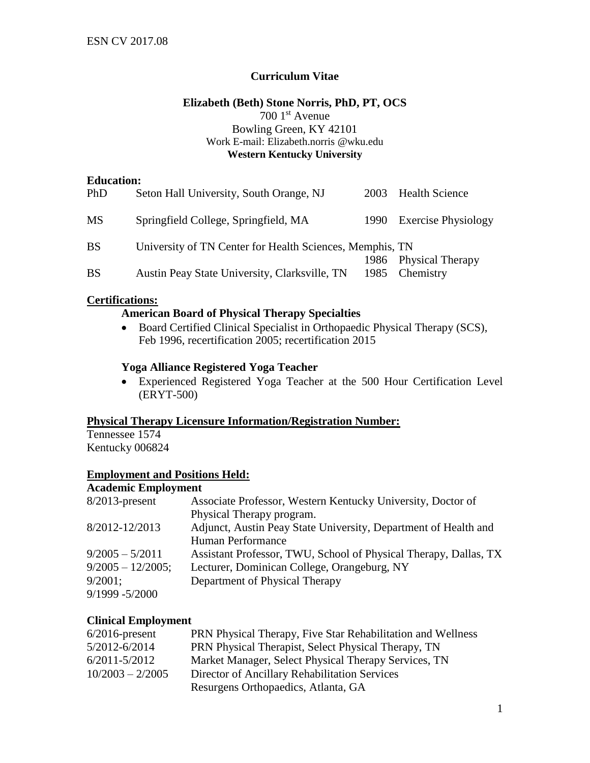## **Curriculum Vitae**

### **Elizabeth (Beth) Stone Norris, PhD, PT, OCS** 700 1st Avenue Bowling Green, KY 42101 Work E-mail: Elizabeth.norris @wku.edu **Western Kentucky University**

### **Education:**

| PhD       | Seton Hall University, South Orange, NJ                  |      | 2003 Health Science      |
|-----------|----------------------------------------------------------|------|--------------------------|
| <b>MS</b> | Springfield College, Springfield, MA                     |      | 1990 Exercise Physiology |
| <b>BS</b> | University of TN Center for Health Sciences, Memphis, TN |      |                          |
|           |                                                          |      | 1986 Physical Therapy    |
| <b>BS</b> | Austin Peay State University, Clarksville, TN            | 1985 | Chemistry                |

### **Certifications:**

## **American Board of Physical Therapy Specialties**

• Board Certified Clinical Specialist in Orthopaedic Physical Therapy (SCS), Feb 1996, recertification 2005; recertification 2015

### **Yoga Alliance Registered Yoga Teacher**

 Experienced Registered Yoga Teacher at the 500 Hour Certification Level (ERYT-500)

### **Physical Therapy Licensure Information/Registration Number:**

Tennessee 1574 Kentucky 006824

### **Employment and Positions Held:**

### **Academic Employment**

| $8/2013$ -present    | Associate Professor, Western Kentucky University, Doctor of      |
|----------------------|------------------------------------------------------------------|
|                      | Physical Therapy program.                                        |
| 8/2012-12/2013       | Adjunct, Austin Peay State University, Department of Health and  |
|                      | Human Performance                                                |
| $9/2005 - 5/2011$    | Assistant Professor, TWU, School of Physical Therapy, Dallas, TX |
| $9/2005 - 12/2005$ ; | Lecturer, Dominican College, Orangeburg, NY                      |
| 9/2001;              | Department of Physical Therapy                                   |
| 9/1999 -5/2000       |                                                                  |
|                      |                                                                  |

### **Clinical Employment**

| $6/2016$ -present  | PRN Physical Therapy, Five Star Rehabilitation and Wellness |
|--------------------|-------------------------------------------------------------|
| 5/2012-6/2014      | PRN Physical Therapist, Select Physical Therapy, TN         |
| $6/2011 - 5/2012$  | Market Manager, Select Physical Therapy Services, TN        |
| $10/2003 - 2/2005$ | Director of Ancillary Rehabilitation Services               |
|                    | Resurgens Orthopaedics, Atlanta, GA                         |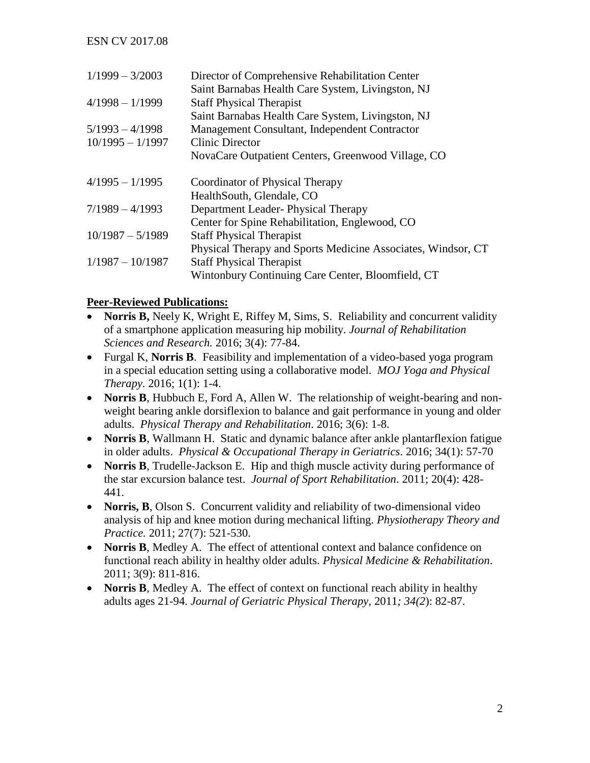| $1/1999 - 3/2003$  | Director of Comprehensive Rehabilitation Center                                      |
|--------------------|--------------------------------------------------------------------------------------|
| $4/1998 - 1/1999$  | Saint Barnabas Health Care System, Livingston, NJ<br><b>Staff Physical Therapist</b> |
|                    | Saint Barnabas Health Care System, Livingston, NJ                                    |
| $5/1993 - 4/1998$  | Management Consultant, Independent Contractor                                        |
| $10/1995 - 1/1997$ | <b>Clinic Director</b>                                                               |
|                    | NovaCare Outpatient Centers, Greenwood Village, CO                                   |
| $4/1995 - 1/1995$  | Coordinator of Physical Therapy                                                      |
|                    | HealthSouth, Glendale, CO                                                            |
| $7/1989 - 4/1993$  | Department Leader-Physical Therapy                                                   |
|                    | Center for Spine Rehabilitation, Englewood, CO                                       |
| $10/1987 - 5/1989$ | <b>Staff Physical Therapist</b>                                                      |
|                    | Physical Therapy and Sports Medicine Associates, Windsor, CT                         |
| $1/1987 - 10/1987$ | <b>Staff Physical Therapist</b>                                                      |
|                    | Wintonbury Continuing Care Center, Bloomfield, CT                                    |

### **Peer-Reviewed Publications:**

- **Norris B,** Neely K, Wright E, Riffey M, Sims, S. Reliability and concurrent validity of a smartphone application measuring hip mobility. *Journal of Rehabilitation Sciences and Research.* 2016; 3(4): 77-84.
- Furgal K, **Norris B**. Feasibility and implementation of a video-based yoga program in a special education setting using a collaborative model. *MOJ Yoga and Physical Therapy.* 2016; 1(1): 1-4.
- **Norris B**, Hubbuch E, Ford A, Allen W. The relationship of weight-bearing and nonweight bearing ankle dorsiflexion to balance and gait performance in young and older adults. *Physical Therapy and Rehabilitation*. 2016; 3(6): 1-8.
- **Norris B**, Wallmann H. Static and dynamic balance after ankle plantarflexion fatigue in older adults. *Physical & Occupational Therapy in Geriatrics*. 2016; 34(1): 57-70
- **Norris B**, Trudelle-Jackson E. Hip and thigh muscle activity during performance of the star excursion balance test. *Journal of Sport Rehabilitation*. 2011; 20(4): 428- 441.
- **Norris, B**, Olson S. Concurrent validity and reliability of two-dimensional video analysis of hip and knee motion during mechanical lifting. *Physiotherapy Theory and Practice.* 2011; 27(7): 521-530.
- **Norris B**, Medley A. The effect of attentional context and balance confidence on functional reach ability in healthy older adults. *Physical Medicine & Rehabilitation*. 2011; 3(9): 811-816.
- **Norris B**, Medley A. The effect of context on functional reach ability in healthy adults ages 21-94. *Journal of Geriatric Physical Therapy,* 2011*; 34(2*): 82-87.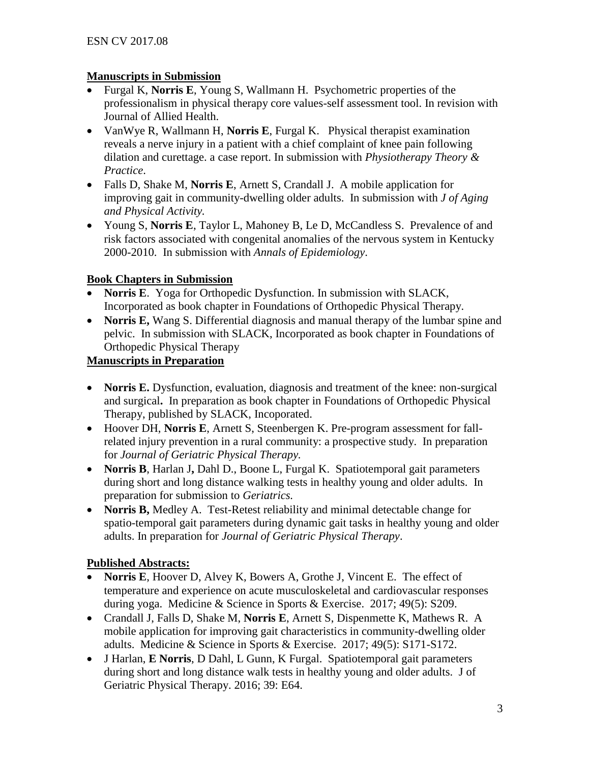## **Manuscripts in Submission**

- Furgal K, **Norris E**, Young S, Wallmann H. Psychometric properties of the professionalism in physical therapy core values-self assessment tool. In revision with Journal of Allied Health.
- VanWye R, Wallmann H, **Norris E**, Furgal K. Physical therapist examination reveals a nerve injury in a patient with a chief complaint of knee pain following dilation and curettage. a case report. In submission with *Physiotherapy Theory & Practice*.
- Falls D, Shake M, **Norris E**, Arnett S, Crandall J. A mobile application for improving gait in community-dwelling older adults. In submission with *J of Aging and Physical Activity.*
- Young S, **Norris E**, Taylor L, Mahoney B, Le D, McCandless S. Prevalence of and risk factors associated with congenital anomalies of the nervous system in Kentucky 2000-2010. In submission with *Annals of Epidemiology*.

## **Book Chapters in Submission**

- **Norris E**. Yoga for Orthopedic Dysfunction. In submission with SLACK, Incorporated as book chapter in Foundations of Orthopedic Physical Therapy.
- **Norris E,** Wang S. Differential diagnosis and manual therapy of the lumbar spine and pelvic. In submission with SLACK, Incorporated as book chapter in Foundations of Orthopedic Physical Therapy

## **Manuscripts in Preparation**

- **Norris E.** Dysfunction, evaluation, diagnosis and treatment of the knee: non-surgical and surgical**.** In preparation as book chapter in Foundations of Orthopedic Physical Therapy, published by SLACK, Incoporated.
- Hoover DH, **Norris E**, Arnett S, Steenbergen K. Pre-program assessment for fallrelated injury prevention in a rural community: a prospective study. In preparation for *Journal of Geriatric Physical Therapy.*
- **Norris B**, Harlan J**,** Dahl D., Boone L, Furgal K. Spatiotemporal gait parameters during short and long distance walking tests in healthy young and older adults. In preparation for submission to *Geriatrics.*
- **Norris B,** Medley A. Test-Retest reliability and minimal detectable change for spatio-temporal gait parameters during dynamic gait tasks in healthy young and older adults. In preparation for *Journal of Geriatric Physical Therapy*.

# **Published Abstracts:**

- **Norris E**, Hoover D, Alvey K, Bowers A, Grothe J, Vincent E. The effect of temperature and experience on acute musculoskeletal and cardiovascular responses during yoga. Medicine & Science in Sports & Exercise. 2017; 49(5): S209.
- Crandall J, Falls D, Shake M, **Norris E**, Arnett S, Dispenmette K, Mathews R. A mobile application for improving gait characteristics in community-dwelling older adults. Medicine & Science in Sports & Exercise. 2017; 49(5): S171-S172.
- J Harlan, **E Norris**, D Dahl, L Gunn, K Furgal. Spatiotemporal gait parameters during short and long distance walk tests in healthy young and older adults. J of Geriatric Physical Therapy. 2016; 39: E64.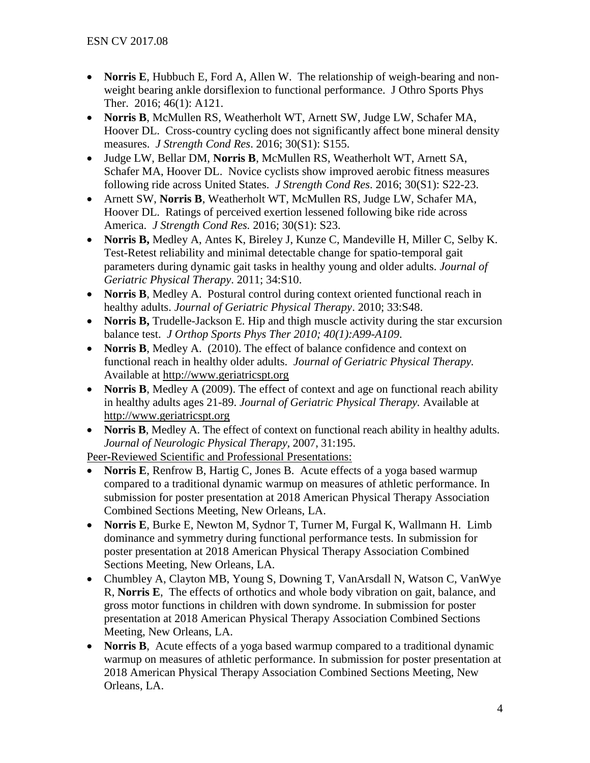- **Norris E**, Hubbuch E, Ford A, Allen W. The relationship of weigh-bearing and nonweight bearing ankle dorsiflexion to functional performance. J Othro Sports Phys Ther. 2016; 46(1): A121.
- **Norris B**, McMullen RS, Weatherholt WT, Arnett SW, Judge LW, Schafer MA, Hoover DL. Cross-country cycling does not significantly affect bone mineral density measures. *J Strength Cond Res*. 2016; 30(S1): S155.
- Judge LW, Bellar DM, **Norris B**, McMullen RS, Weatherholt WT, Arnett SA, Schafer MA, Hoover DL. Novice cyclists show improved aerobic fitness measures following ride across United States. *J Strength Cond Res*. 2016; 30(S1): S22-23.
- Arnett SW, **Norris B**, Weatherholt WT, McMullen RS, Judge LW, Schafer MA, Hoover DL. Ratings of perceived exertion lessened following bike ride across America. *J Strength Cond Res.* 2016; 30(S1): S23.
- **Norris B,** Medley A, Antes K, Bireley J, Kunze C, Mandeville H, Miller C, Selby K. Test-Retest reliability and minimal detectable change for spatio-temporal gait parameters during dynamic gait tasks in healthy young and older adults. *Journal of Geriatric Physical Therapy*. 2011; 34:S10.
- **Norris B**, Medley A. Postural control during context oriented functional reach in healthy adults. *Journal of Geriatric Physical Therapy*. 2010; 33:S48.
- **Norris B,** Trudelle-Jackson E. Hip and thigh muscle activity during the star excursion balance test.*J Orthop Sports Phys Ther 2010; 40(1):A99-A109*.
- **Norris B**, Medley A. (2010). The effect of balance confidence and context on functional reach in healthy older adults. *Journal of Geriatric Physical Therapy.* Available at [http://www.geriatricspt.org](http://www.geriatricspt.org/)
- **Norris B.** Medley A (2009). The effect of context and age on functional reach ability in healthy adults ages 21-89. *Journal of Geriatric Physical Therapy.* Available at [http://www.geriatricspt.org](http://www.geriatricspt.org/)
- **Norris B**, Medley A. The effect of context on functional reach ability in healthy adults. *Journal of Neurologic Physical Therapy,* 2007, 31:195.

Peer**-**Reviewed Scientific and Professional Presentations:

- **Norris E**, Renfrow B, Hartig C, Jones B. Acute effects of a yoga based warmup compared to a traditional dynamic warmup on measures of athletic performance. In submission for poster presentation at 2018 American Physical Therapy Association Combined Sections Meeting, New Orleans, LA.
- **Norris E**, Burke E, Newton M, Sydnor T, Turner M, Furgal K, Wallmann H. Limb dominance and symmetry during functional performance tests. In submission for poster presentation at 2018 American Physical Therapy Association Combined Sections Meeting, New Orleans, LA.
- Chumbley A, Clayton MB, Young S, Downing T, VanArsdall N, Watson C, VanWye R, **Norris E**, The effects of orthotics and whole body vibration on gait, balance, and gross motor functions in children with down syndrome. In submission for poster presentation at 2018 American Physical Therapy Association Combined Sections Meeting, New Orleans, LA.
- **Norris B**, Acute effects of a yoga based warmup compared to a traditional dynamic warmup on measures of athletic performance. In submission for poster presentation at 2018 American Physical Therapy Association Combined Sections Meeting, New Orleans, LA.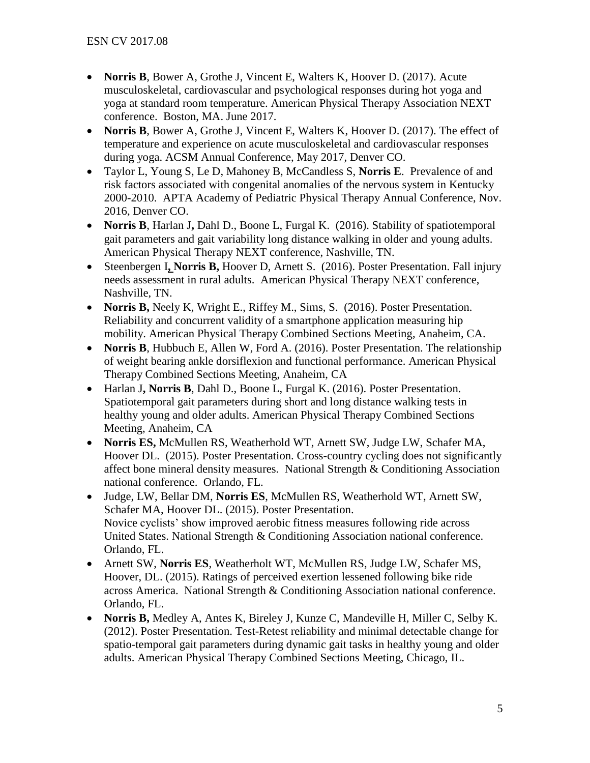- **Norris B**, Bower A, Grothe J, Vincent E, Walters K, Hoover D. (2017). Acute musculoskeletal, cardiovascular and psychological responses during hot yoga and yoga at standard room temperature. American Physical Therapy Association NEXT conference. Boston, MA. June 2017.
- **Norris B**, Bower A, Grothe J, Vincent E, Walters K, Hoover D. (2017). The effect of temperature and experience on acute musculoskeletal and cardiovascular responses during yoga. ACSM Annual Conference, May 2017, Denver CO.
- Taylor L, Young S, Le D, Mahoney B, McCandless S, **Norris E**. Prevalence of and risk factors associated with congenital anomalies of the nervous system in Kentucky 2000-2010. APTA Academy of Pediatric Physical Therapy Annual Conference, Nov. 2016, Denver CO.
- **Norris B**, Harlan J**,** Dahl D., Boone L, Furgal K. (2016). Stability of spatiotemporal gait parameters and gait variability long distance walking in older and young adults. American Physical Therapy NEXT conference, Nashville, TN.
- Steenbergen I**, Norris B,** Hoover D, Arnett S. (2016). Poster Presentation. Fall injury needs assessment in rural adults. American Physical Therapy NEXT conference, Nashville, TN.
- **Norris B,** Neely K, Wright E., Riffey M., Sims, S. (2016). Poster Presentation. Reliability and concurrent validity of a smartphone application measuring hip mobility. American Physical Therapy Combined Sections Meeting, Anaheim, CA.
- **Norris B**, Hubbuch E, Allen W, Ford A. (2016). Poster Presentation. The relationship of weight bearing ankle dorsiflexion and functional performance. American Physical Therapy Combined Sections Meeting, Anaheim, CA
- Harlan J**, Norris B**, Dahl D., Boone L, Furgal K. (2016). Poster Presentation. Spatiotemporal gait parameters during short and long distance walking tests in healthy young and older adults. American Physical Therapy Combined Sections Meeting, Anaheim, CA
- **Norris ES,** McMullen RS, Weatherhold WT, Arnett SW, Judge LW, Schafer MA, Hoover DL. (2015). Poster Presentation. Cross-country cycling does not significantly affect bone mineral density measures. National Strength & Conditioning Association national conference. Orlando, FL.
- Judge, LW, Bellar DM, **Norris ES**, McMullen RS, Weatherhold WT, Arnett SW, Schafer MA, Hoover DL. (2015). Poster Presentation. Novice cyclists' show improved aerobic fitness measures following ride across United States. National Strength & Conditioning Association national conference. Orlando, FL.
- Arnett SW, **Norris ES**, Weatherholt WT, McMullen RS, Judge LW, Schafer MS, Hoover, DL. (2015). Ratings of perceived exertion lessened following bike ride across America. National Strength & Conditioning Association national conference. Orlando, FL.
- **Norris B,** Medley A, Antes K, Bireley J, Kunze C, Mandeville H, Miller C, Selby K. (2012). Poster Presentation. Test-Retest reliability and minimal detectable change for spatio-temporal gait parameters during dynamic gait tasks in healthy young and older adults. American Physical Therapy Combined Sections Meeting, Chicago, IL.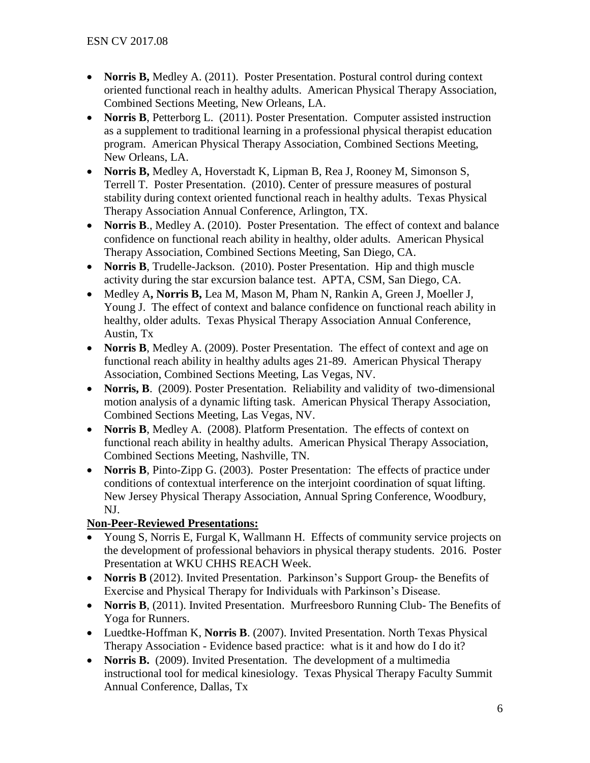- **Norris B,** Medley A. (2011). Poster Presentation. Postural control during context oriented functional reach in healthy adults. American Physical Therapy Association, Combined Sections Meeting, New Orleans, LA.
- **Norris B**, Petterborg L. (2011). Poster Presentation. Computer assisted instruction as a supplement to traditional learning in a professional physical therapist education program. American Physical Therapy Association, Combined Sections Meeting, New Orleans, LA.
- **Norris B,** Medley A, Hoverstadt K, Lipman B, Rea J, Rooney M, Simonson S, Terrell T. Poster Presentation. (2010). Center of pressure measures of postural stability during context oriented functional reach in healthy adults. Texas Physical Therapy Association Annual Conference, Arlington, TX.
- **Norris B., Medley A. (2010). Poster Presentation. The effect of context and balance** confidence on functional reach ability in healthy, older adults. American Physical Therapy Association, Combined Sections Meeting, San Diego, CA.
- **Norris B**, Trudelle-Jackson. (2010). Poster Presentation. Hip and thigh muscle activity during the star excursion balance test. APTA, CSM, San Diego, CA.
- Medley A**, Norris B,** Lea M, Mason M, Pham N, Rankin A, Green J, Moeller J, Young J. The effect of context and balance confidence on functional reach ability in healthy, older adults. Texas Physical Therapy Association Annual Conference, Austin, Tx
- **Norris B**, Medley A. (2009). Poster Presentation. The effect of context and age on functional reach ability in healthy adults ages 21-89. American Physical Therapy Association, Combined Sections Meeting, Las Vegas, NV.
- **Norris, B**. (2009). Poster Presentation. Reliability and validity of two-dimensional motion analysis of a dynamic lifting task. American Physical Therapy Association, Combined Sections Meeting, Las Vegas, NV.
- **Norris B**, Medley A. (2008). Platform Presentation. The effects of context on functional reach ability in healthy adults. American Physical Therapy Association, Combined Sections Meeting, Nashville, TN.
- **Norris B**, Pinto-Zipp G. (2003). Poster Presentation: The effects of practice under conditions of contextual interference on the interjoint coordination of squat lifting. New Jersey Physical Therapy Association, Annual Spring Conference, Woodbury, NJ.

# **Non-Peer-Reviewed Presentations:**

- Young S, Norris E, Furgal K, Wallmann H. Effects of community service projects on the development of professional behaviors in physical therapy students. 2016. Poster Presentation at WKU CHHS REACH Week.
- **Norris B** (2012). Invited Presentation. Parkinson's Support Group- the Benefits of Exercise and Physical Therapy for Individuals with Parkinson's Disease.
- **Norris B**, (2011). Invited Presentation. Murfreesboro Running Club- The Benefits of Yoga for Runners.
- Luedtke-Hoffman K, **Norris B**. (2007). Invited Presentation. North Texas Physical Therapy Association - Evidence based practice: what is it and how do I do it?
- **Norris B.** (2009). Invited Presentation. The development of a multimedia instructional tool for medical kinesiology. Texas Physical Therapy Faculty Summit Annual Conference, Dallas, Tx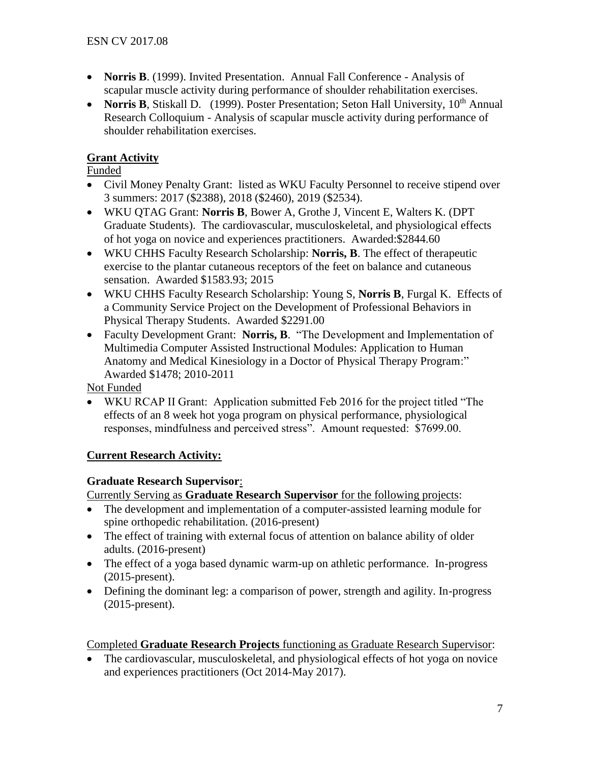- **Norris B**. (1999). Invited Presentation. Annual Fall Conference Analysis of scapular muscle activity during performance of shoulder rehabilitation exercises.
- **Norris B**, Stiskall D. (1999). Poster Presentation; Seton Hall University, 10<sup>th</sup> Annual Research Colloquium - Analysis of scapular muscle activity during performance of shoulder rehabilitation exercises.

# **Grant Activity**

Funded

- Civil Money Penalty Grant: listed as WKU Faculty Personnel to receive stipend over 3 summers: 2017 (\$2388), 2018 (\$2460), 2019 (\$2534).
- WKU QTAG Grant: **Norris B**, Bower A, Grothe J, Vincent E, Walters K. (DPT Graduate Students). The cardiovascular, musculoskeletal, and physiological effects of hot yoga on novice and experiences practitioners. Awarded:\$2844.60
- WKU CHHS Faculty Research Scholarship: **Norris, B**. The effect of therapeutic exercise to the plantar cutaneous receptors of the feet on balance and cutaneous sensation. Awarded \$1583.93; 2015
- WKU CHHS Faculty Research Scholarship: Young S, **Norris B**, Furgal K. Effects of a Community Service Project on the Development of Professional Behaviors in Physical Therapy Students. Awarded \$2291.00
- Faculty Development Grant: **Norris, B**. "The Development and Implementation of Multimedia Computer Assisted Instructional Modules: Application to Human Anatomy and Medical Kinesiology in a Doctor of Physical Therapy Program:" Awarded \$1478; 2010-2011

Not Funded

 WKU RCAP II Grant: Application submitted Feb 2016 for the project titled "The effects of an 8 week hot yoga program on physical performance, physiological responses, mindfulness and perceived stress". Amount requested: \$7699.00.

# **Current Research Activity:**

# **Graduate Research Supervisor**:

Currently Serving as **Graduate Research Supervisor** for the following projects:

- The development and implementation of a computer-assisted learning module for spine orthopedic rehabilitation. (2016-present)
- The effect of training with external focus of attention on balance ability of older adults. (2016-present)
- The effect of a yoga based dynamic warm-up on athletic performance. In-progress (2015-present).
- Defining the dominant leg: a comparison of power, strength and agility. In-progress (2015-present).

# Completed **Graduate Research Projects** functioning as Graduate Research Supervisor:

 The cardiovascular, musculoskeletal, and physiological effects of hot yoga on novice and experiences practitioners (Oct 2014-May 2017).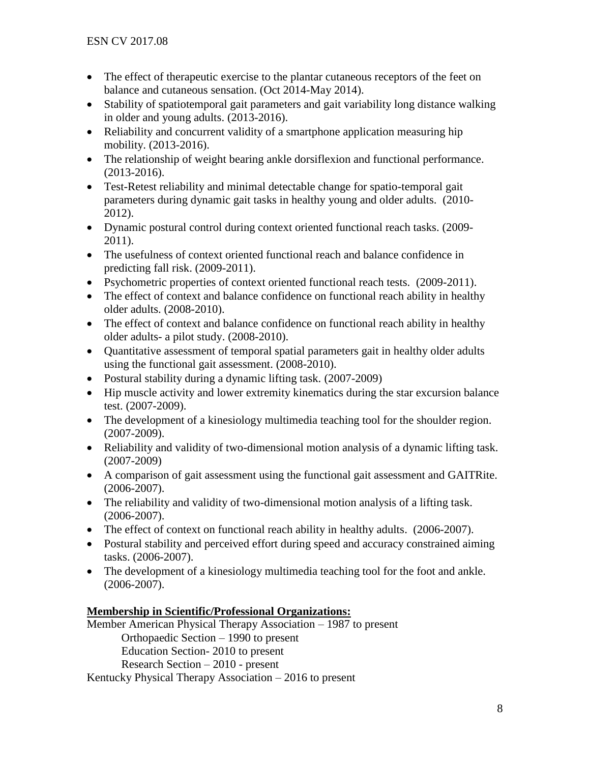- The effect of therapeutic exercise to the plantar cutaneous receptors of the feet on balance and cutaneous sensation. (Oct 2014-May 2014).
- Stability of spatiotemporal gait parameters and gait variability long distance walking in older and young adults. (2013-2016).
- Reliability and concurrent validity of a smartphone application measuring hip mobility. (2013-2016).
- The relationship of weight bearing ankle dorsiflexion and functional performance. (2013-2016).
- Test-Retest reliability and minimal detectable change for spatio-temporal gait parameters during dynamic gait tasks in healthy young and older adults. (2010- 2012).
- Dynamic postural control during context oriented functional reach tasks. (2009- 2011).
- The usefulness of context oriented functional reach and balance confidence in predicting fall risk. (2009-2011).
- Psychometric properties of context oriented functional reach tests. (2009-2011).
- The effect of context and balance confidence on functional reach ability in healthy older adults. (2008-2010).
- The effect of context and balance confidence on functional reach ability in healthy older adults- a pilot study. (2008-2010).
- Ouantitative assessment of temporal spatial parameters gait in healthy older adults using the functional gait assessment. (2008-2010).
- Postural stability during a dynamic lifting task. (2007-2009)
- Hip muscle activity and lower extremity kinematics during the star excursion balance test. (2007-2009).
- The development of a kinesiology multimedia teaching tool for the shoulder region. (2007-2009).
- Reliability and validity of two-dimensional motion analysis of a dynamic lifting task. (2007-2009)
- A comparison of gait assessment using the functional gait assessment and GAITRite. (2006-2007).
- The reliability and validity of two-dimensional motion analysis of a lifting task. (2006-2007).
- The effect of context on functional reach ability in healthy adults. (2006-2007).
- Postural stability and perceived effort during speed and accuracy constrained aiming tasks. (2006-2007).
- The development of a kinesiology multimedia teaching tool for the foot and ankle. (2006-2007).

# **Membership in Scientific/Professional Organizations:**

Member American Physical Therapy Association – 1987 to present Orthopaedic Section – 1990 to present Education Section- 2010 to present Research Section – 2010 - present Kentucky Physical Therapy Association – 2016 to present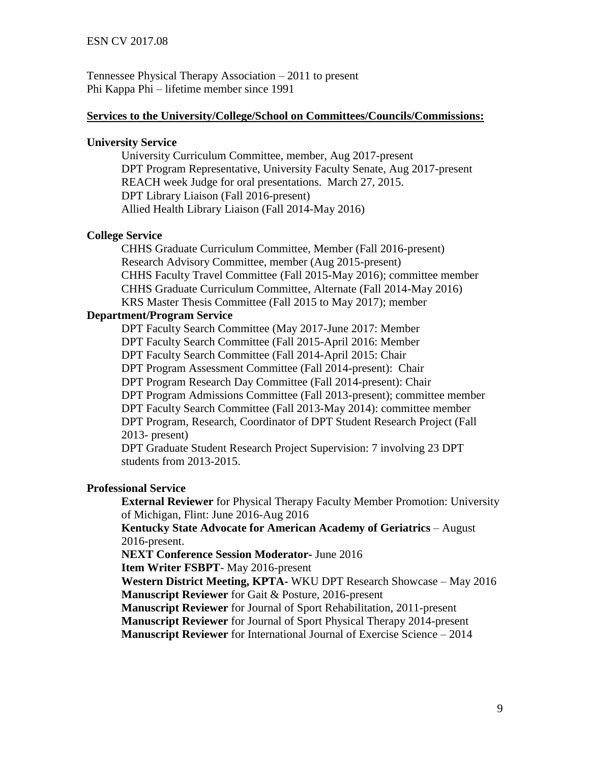Tennessee Physical Therapy Association – 2011 to present Phi Kappa Phi – lifetime member since 1991

#### **Services to the University/College/School on Committees/Councils/Commissions:**

### **University Service**

University Curriculum Committee, member, Aug 2017-present DPT Program Representative, University Faculty Senate, Aug 2017-present REACH week Judge for oral presentations. March 27, 2015. DPT Library Liaison (Fall 2016-present) Allied Health Library Liaison (Fall 2014-May 2016)

### **College Service**

CHHS Graduate Curriculum Committee, Member (Fall 2016-present) Research Advisory Committee, member (Aug 2015-present) CHHS Faculty Travel Committee (Fall 2015-May 2016); committee member CHHS Graduate Curriculum Committee, Alternate (Fall 2014-May 2016) KRS Master Thesis Committee (Fall 2015 to May 2017); member

### **Department/Program Service**

DPT Faculty Search Committee (May 2017-June 2017: Member DPT Faculty Search Committee (Fall 2015-April 2016: Member DPT Faculty Search Committee (Fall 2014-April 2015: Chair DPT Program Assessment Committee (Fall 2014-present): Chair DPT Program Research Day Committee (Fall 2014-present): Chair DPT Program Admissions Committee (Fall 2013-present); committee member DPT Faculty Search Committee (Fall 2013-May 2014): committee member DPT Program, Research, Coordinator of DPT Student Research Project (Fall 2013- present)

DPT Graduate Student Research Project Supervision: 7 involving 23 DPT students from 2013-2015.

### **Professional Service**

**External Reviewer** for Physical Therapy Faculty Member Promotion: University of Michigan, Flint: June 2016-Aug 2016

**Kentucky State Advocate for American Academy of Geriatrics** – August 2016-present.

**NEXT Conference Session Moderator-** June 2016

**Item Writer FSBPT**- May 2016-present

**Western District Meeting, KPTA-** WKU DPT Research Showcase – May 2016 **Manuscript Reviewer** for Gait & Posture, 2016-present

**Manuscript Reviewer** for Journal of Sport Rehabilitation, 2011-present

**Manuscript Reviewer** for Journal of Sport Physical Therapy 2014-present

**Manuscript Reviewer** for International Journal of Exercise Science – 2014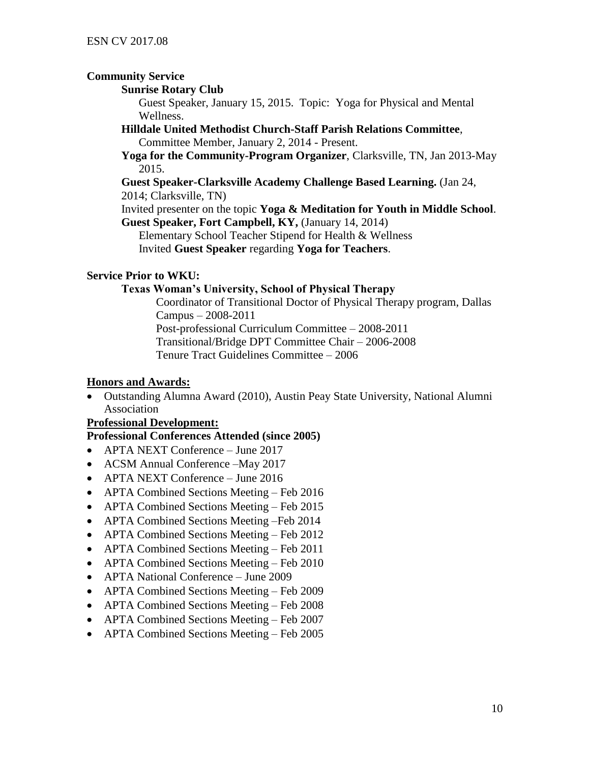## **Community Service**

### **Sunrise Rotary Club**

Guest Speaker, January 15, 2015. Topic: Yoga for Physical and Mental Wellness.

### **Hilldale United Methodist Church-Staff Parish Relations Committee**, Committee Member, January 2, 2014 - Present.

**Yoga for the Community-Program Organizer**, Clarksville, TN, Jan 2013-May 2015.

### **Guest Speaker-Clarksville Academy Challenge Based Learning.** (Jan 24, 2014; Clarksville, TN)

Invited presenter on the topic **Yoga & Meditation for Youth in Middle School**.

**Guest Speaker, Fort Campbell, KY,** (January 14, 2014) Elementary School Teacher Stipend for Health & Wellness Invited **Guest Speaker** regarding **Yoga for Teachers**.

### **Service Prior to WKU:**

### **Texas Woman's University, School of Physical Therapy**

Coordinator of Transitional Doctor of Physical Therapy program, Dallas Campus – 2008-2011 Post-professional Curriculum Committee – 2008-2011 Transitional/Bridge DPT Committee Chair – 2006-2008 Tenure Tract Guidelines Committee – 2006

### **Honors and Awards:**

 Outstanding Alumna Award (2010), Austin Peay State University, National Alumni Association

### **Professional Development:**

## **Professional Conferences Attended (since 2005)**

- APTA NEXT Conference June 2017
- ACSM Annual Conference –May 2017
- APTA NEXT Conference June 2016
- APTA Combined Sections Meeting Feb 2016
- APTA Combined Sections Meeting Feb 2015
- APTA Combined Sections Meeting –Feb 2014
- APTA Combined Sections Meeting Feb 2012
- APTA Combined Sections Meeting Feb 2011
- APTA Combined Sections Meeting Feb 2010
- APTA National Conference June 2009
- APTA Combined Sections Meeting Feb 2009
- APTA Combined Sections Meeting Feb 2008
- APTA Combined Sections Meeting Feb 2007
- APTA Combined Sections Meeting Feb 2005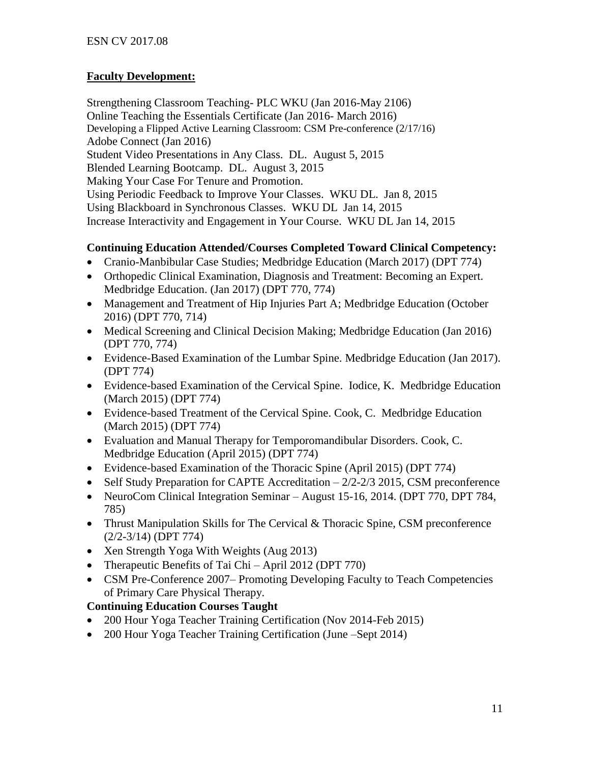## **Faculty Development:**

Strengthening Classroom Teaching- PLC WKU (Jan 2016-May 2106) Online Teaching the Essentials Certificate (Jan 2016- March 2016) Developing a Flipped Active Learning Classroom: CSM Pre-conference (2/17/16) Adobe Connect (Jan 2016) Student Video Presentations in Any Class. DL. August 5, 2015 Blended Learning Bootcamp. DL. August 3, 2015 Making Your Case For Tenure and Promotion. Using Periodic Feedback to Improve Your Classes. WKU DL. Jan 8, 2015 Using Blackboard in Synchronous Classes. WKU DL Jan 14, 2015 Increase Interactivity and Engagement in Your Course. WKU DL Jan 14, 2015

## **Continuing Education Attended/Courses Completed Toward Clinical Competency:**

- Cranio-Manbibular Case Studies; Medbridge Education (March 2017) (DPT 774)
- Orthopedic Clinical Examination, Diagnosis and Treatment: Becoming an Expert. Medbridge Education. (Jan 2017) (DPT 770, 774)
- Management and Treatment of Hip Injuries Part A; Medbridge Education (October 2016) (DPT 770, 714)
- Medical Screening and Clinical Decision Making; Medbridge Education (Jan 2016) (DPT 770, 774)
- Evidence-Based Examination of the Lumbar Spine. Medbridge Education (Jan 2017). (DPT 774)
- Evidence-based Examination of the Cervical Spine. Iodice, K. Medbridge Education (March 2015) (DPT 774)
- Evidence-based Treatment of the Cervical Spine. Cook, C. Medbridge Education (March 2015) (DPT 774)
- Evaluation and Manual Therapy for Temporomandibular Disorders. Cook, C. Medbridge Education (April 2015) (DPT 774)
- Evidence-based Examination of the Thoracic Spine (April 2015) (DPT 774)
- Self Study Preparation for CAPTE Accreditation  $-2/2-2/3$  2015, CSM preconference
- NeuroCom Clinical Integration Seminar August 15-16, 2014. (DPT 770, DPT 784, 785)
- Thrust Manipulation Skills for The Cervical & Thoracic Spine, CSM preconference (2/2-3/14) (DPT 774)
- Xen Strength Yoga With Weights (Aug 2013)
- Therapeutic Benefits of Tai Chi April 2012 (DPT 770)
- CSM Pre-Conference 2007– Promoting Developing Faculty to Teach Competencies of Primary Care Physical Therapy.

# **Continuing Education Courses Taught**

- 200 Hour Yoga Teacher Training Certification (Nov 2014-Feb 2015)
- 200 Hour Yoga Teacher Training Certification (June –Sept 2014)